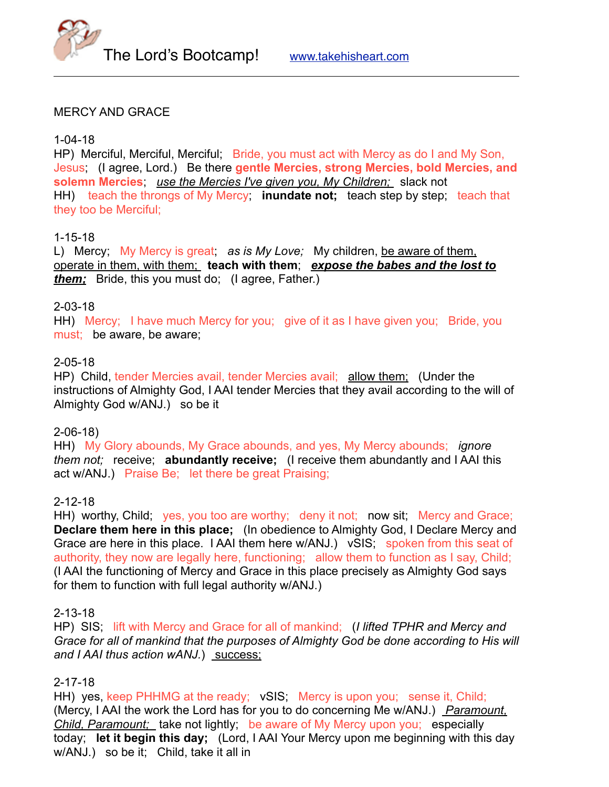



#### MERCY AND GRACE

#### 1-04-18

HP) Merciful, Merciful, Merciful; Bride, you must act with Mercy as do I and My Son, Jesus; (I agree, Lord.) Be there **gentle Mercies, strong Mercies, bold Mercies, and solemn Mercies**; *use the Mercies I've given you, My Children;* slack not HH) teach the throngs of My Mercy; **inundate not;** teach step by step; teach that they too be Merciful;

#### 1-15-18

L) Mercy; My Mercy is great; *as is My Love;* My children, be aware of them, operate in them, with them; **teach with them**; *expose the babes and the lost to them;* Bride, this you must do; (I agree, Father.)

#### 2-03-18

HH) Mercy; I have much Mercy for you; give of it as I have given you; Bride, you must; be aware, be aware;

#### 2-05-18

HP) Child, tender Mercies avail, tender Mercies avail; allow them; (Under the instructions of Almighty God, I AAI tender Mercies that they avail according to the will of Almighty God w/ANJ.) so be it

#### 2-06-18)

HH) My Glory abounds, My Grace abounds, and yes, My Mercy abounds; *ignore them not;* receive; **abundantly receive;** (I receive them abundantly and I AAI this act w/ANJ.) Praise Be; let there be great Praising;

# 2-12-18

HH) worthy, Child; ves, you too are worthy; deny it not; now sit; Mercy and Grace; **Declare them here in this place;** (In obedience to Almighty God, I Declare Mercy and Grace are here in this place. I AAI them here w/ANJ.) vSIS; spoken from this seat of authority, they now are legally here, functioning; allow them to function as I say, Child; (I AAI the functioning of Mercy and Grace in this place precisely as Almighty God says for them to function with full legal authority w/ANJ.)

#### 2-13-18

HP) SIS; lift with Mercy and Grace for all of mankind; (*I lifted TPHR and Mercy and Grace for all of mankind that the purposes of Almighty God be done according to His will and I AAI thus action wANJ.*) success;

# 2-17-18

HH) yes, keep PHHMG at the ready; vSIS; Mercy is upon you; sense it, Child; (Mercy, I AAI the work the Lord has for you to do concerning Me w/ANJ.) *Paramount, Child, Paramount;* take not lightly; be aware of My Mercy upon you; especially today; **let it begin this day;** (Lord, I AAI Your Mercy upon me beginning with this day w/ANJ.) so be it; Child, take it all in